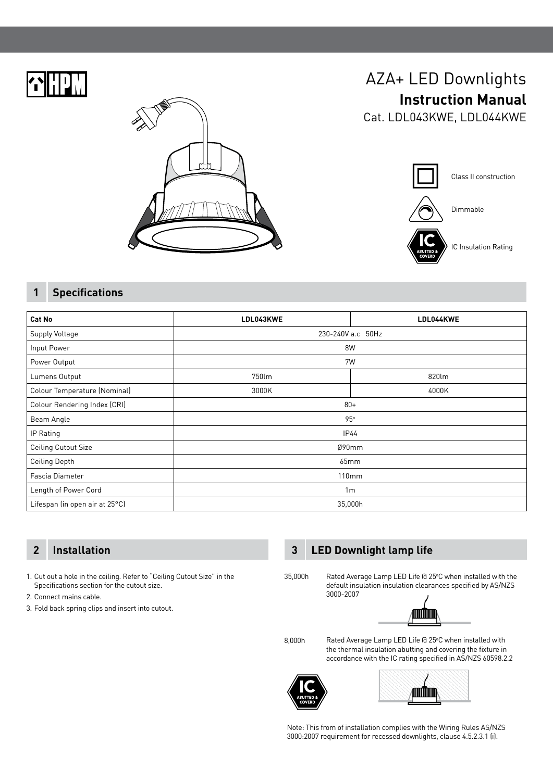



# AZA+ LED Downlights **Instruction Manual**

Cat. LDL043KWE, LDL044KWE



## **1 Specifications**

| Cat No                         | LDL043KWE         | LDL044KWE |
|--------------------------------|-------------------|-----------|
| <b>Supply Voltage</b>          | 230-240V a.c 50Hz |           |
| Input Power                    | 8W                |           |
| Power Output                   | 7W                |           |
| Lumens Output                  | 750lm             | 820lm     |
| Colour Temperature (Nominal)   | 3000K             | 4000K     |
| Colour Rendering Index (CRI)   | $80+$             |           |
| Beam Angle                     | 95°               |           |
| IP Rating                      | IP44              |           |
| <b>Ceiling Cutout Size</b>     | Ø90mm             |           |
| <b>Ceiling Depth</b>           | 65mm              |           |
| Fascia Diameter                | 110mm             |           |
| Length of Power Cord           | 1 <sub>m</sub>    |           |
| Lifespan (in open air at 25°C) | 35,000h           |           |

1. Cut out a hole in the ceiling. Refer to "Ceiling Cutout Size" in the Specifications section for the cutout size.

- 2. Connect mains cable.
- 3. Fold back spring clips and insert into cutout.

## **2 Installation 3 LED Downlight lamp life**

3000-2007

35,000h



Rated Average Lamp LED Life @ 25°C when installed with the

8,000h

Rated Average Lamp LED Life @ 25°C when installed with the thermal insulation abutting and covering the fixture in accordance with the IC rating specified in AS/NZS 60598.2.2





Note: This from of installation complies with the Wiring Rules AS/NZS 3000:2007 requirement for recessed downlights, clause 4.5.2.3.1 (i).